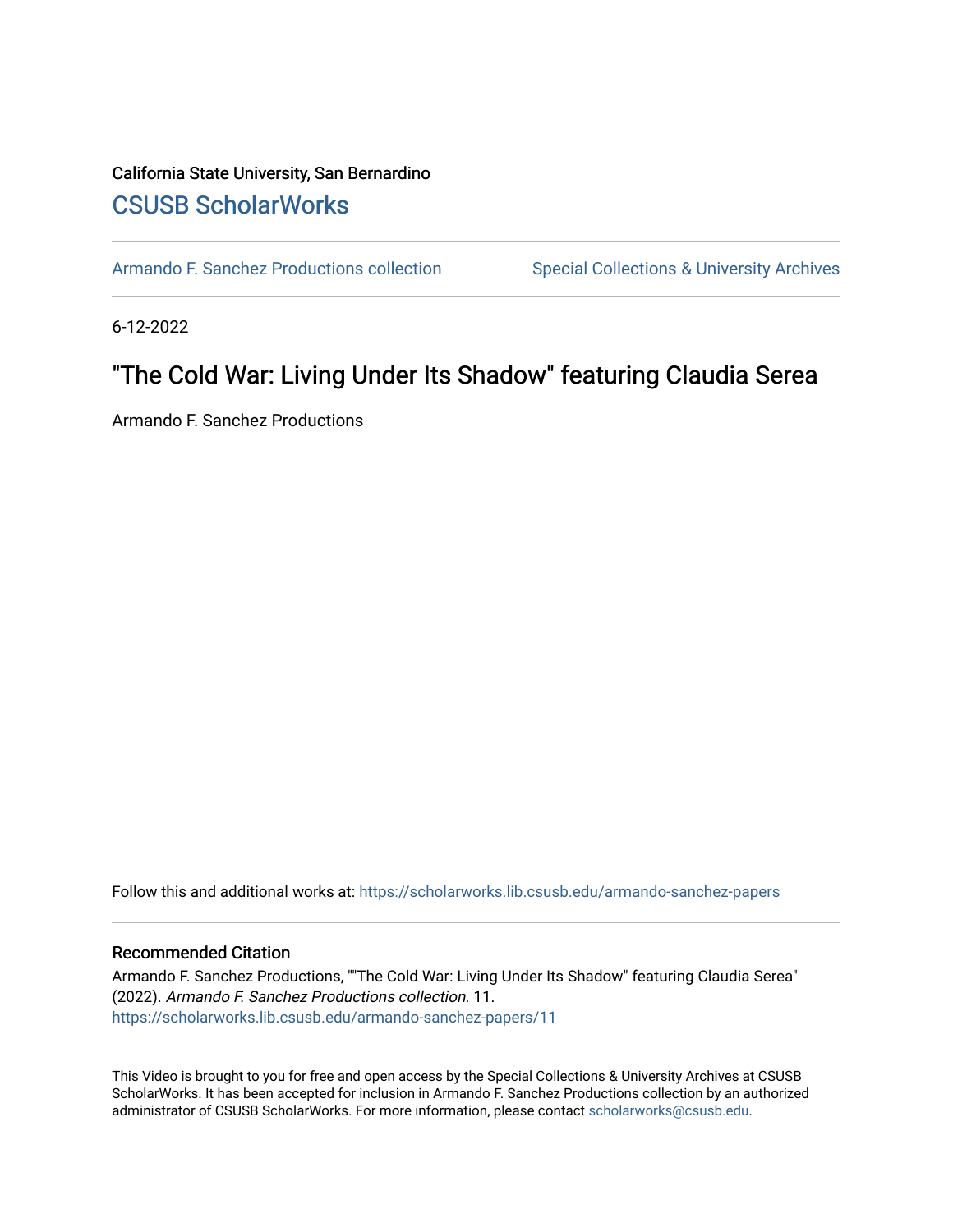#### California State University, San Bernardino [CSUSB ScholarWorks](https://scholarworks.lib.csusb.edu/)

[Armando F. Sanchez Productions collection](https://scholarworks.lib.csusb.edu/armando-sanchez-papers) Special Collections & University Archives

6-12-2022

## "The Cold War: Living Under Its Shadow" featuring Claudia Serea

Armando F. Sanchez Productions

Follow this and additional works at: [https://scholarworks.lib.csusb.edu/armando-sanchez-papers](https://scholarworks.lib.csusb.edu/armando-sanchez-papers?utm_source=scholarworks.lib.csusb.edu%2Farmando-sanchez-papers%2F11&utm_medium=PDF&utm_campaign=PDFCoverPages) 

#### Recommended Citation

Armando F. Sanchez Productions, ""The Cold War: Living Under Its Shadow" featuring Claudia Serea" (2022). Armando F. Sanchez Productions collection. 11. [https://scholarworks.lib.csusb.edu/armando-sanchez-papers/11](https://scholarworks.lib.csusb.edu/armando-sanchez-papers/11?utm_source=scholarworks.lib.csusb.edu%2Farmando-sanchez-papers%2F11&utm_medium=PDF&utm_campaign=PDFCoverPages) 

This Video is brought to you for free and open access by the Special Collections & University Archives at CSUSB ScholarWorks. It has been accepted for inclusion in Armando F. Sanchez Productions collection by an authorized administrator of CSUSB ScholarWorks. For more information, please contact [scholarworks@csusb.edu](mailto:scholarworks@csusb.edu).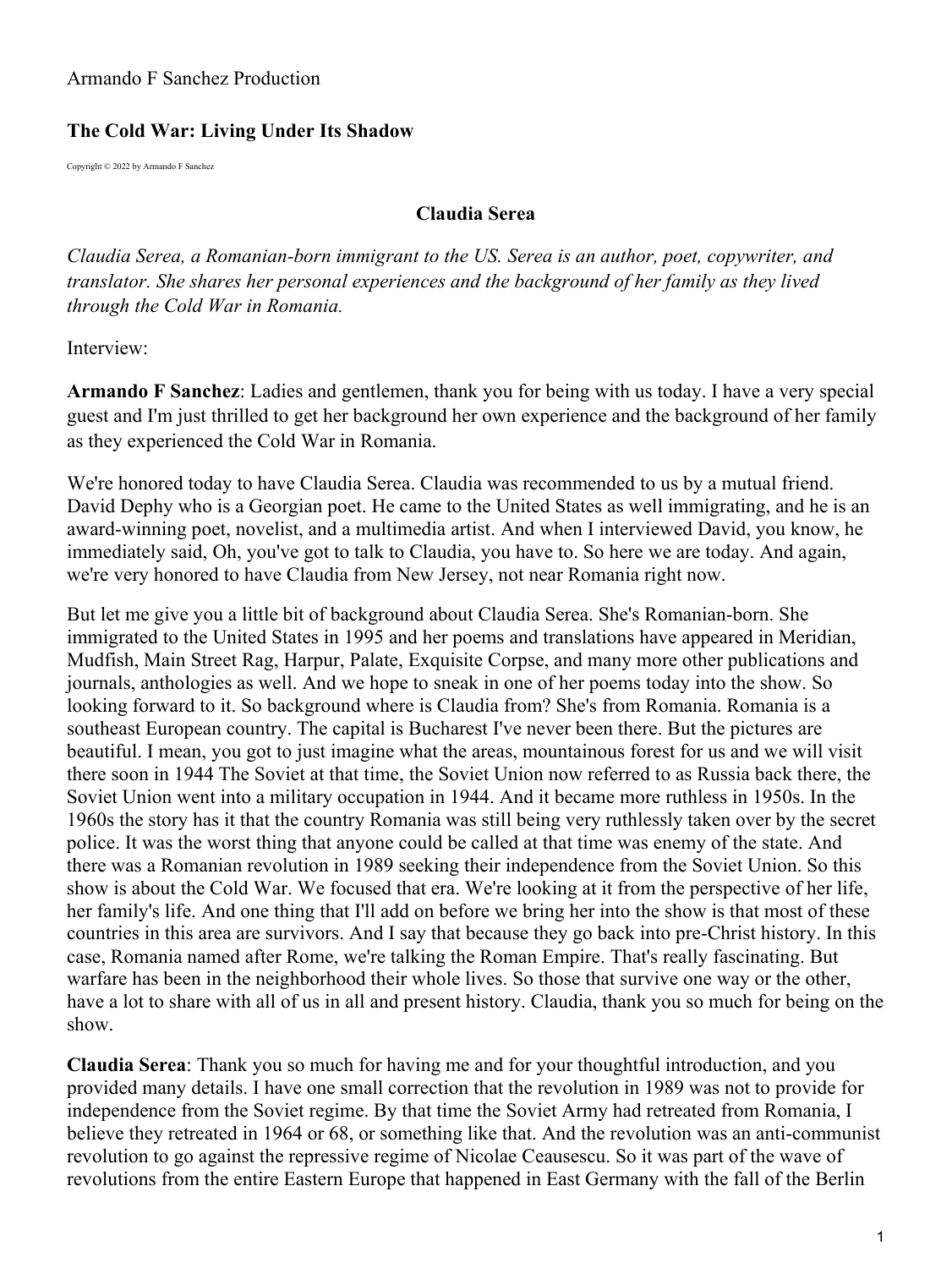### Armando F Sanchez Production

## **The Cold War: Living Under Its Shadow**

Copyright © 2022 by Armando F Sanchez

### **Claudia Serea**

*Claudia Serea, a Romanian-born immigrant to the US. Serea is an author, poet, copywriter, and translator. She shares her personal experiences and the background of her family as they lived through the Cold War in Romania.*

Interview:

**Armando F Sanchez**: Ladies and gentlemen, thank you for being with us today. I have a very special guest and I'm just thrilled to get her background her own experience and the background of her family as they experienced the Cold War in Romania.

We're honored today to have Claudia Serea. Claudia was recommended to us by a mutual friend. David Dephy who is a Georgian poet. He came to the United States as well immigrating, and he is an award-winning poet, novelist, and a multimedia artist. And when I interviewed David, you know, he immediately said, Oh, you've got to talk to Claudia, you have to. So here we are today. And again, we're very honored to have Claudia from New Jersey, not near Romania right now.

But let me give you a little bit of background about Claudia Serea. She's Romanian-born. She immigrated to the United States in 1995 and her poems and translations have appeared in Meridian, Mudfish, Main Street Rag, Harpur, Palate, Exquisite Corpse, and many more other publications and journals, anthologies as well. And we hope to sneak in one of her poems today into the show. So looking forward to it. So background where is Claudia from? She's from Romania. Romania is a southeast European country. The capital is Bucharest I've never been there. But the pictures are beautiful. I mean, you got to just imagine what the areas, mountainous forest for us and we will visit there soon in 1944 The Soviet at that time, the Soviet Union now referred to as Russia back there, the Soviet Union went into a military occupation in 1944. And it became more ruthless in 1950s. In the 1960s the story has it that the country Romania was still being very ruthlessly taken over by the secret police. It was the worst thing that anyone could be called at that time was enemy of the state. And there was a Romanian revolution in 1989 seeking their independence from the Soviet Union. So this show is about the Cold War. We focused that era. We're looking at it from the perspective of her life, her family's life. And one thing that I'll add on before we bring her into the show is that most of these countries in this area are survivors. And I say that because they go back into pre-Christ history. In this case, Romania named after Rome, we're talking the Roman Empire. That's really fascinating. But warfare has been in the neighborhood their whole lives. So those that survive one way or the other, have a lot to share with all of us in all and present history. Claudia, thank you so much for being on the show.

**Claudia Serea**: Thank you so much for having me and for your thoughtful introduction, and you provided many details. I have one small correction that the revolution in 1989 was not to provide for independence from the Soviet regime. By that time the Soviet Army had retreated from Romania, I believe they retreated in 1964 or 68, or something like that. And the revolution was an anti-communist revolution to go against the repressive regime of Nicolae Ceausescu. So it was part of the wave of revolutions from the entire Eastern Europe that happened in East Germany with the fall of the Berlin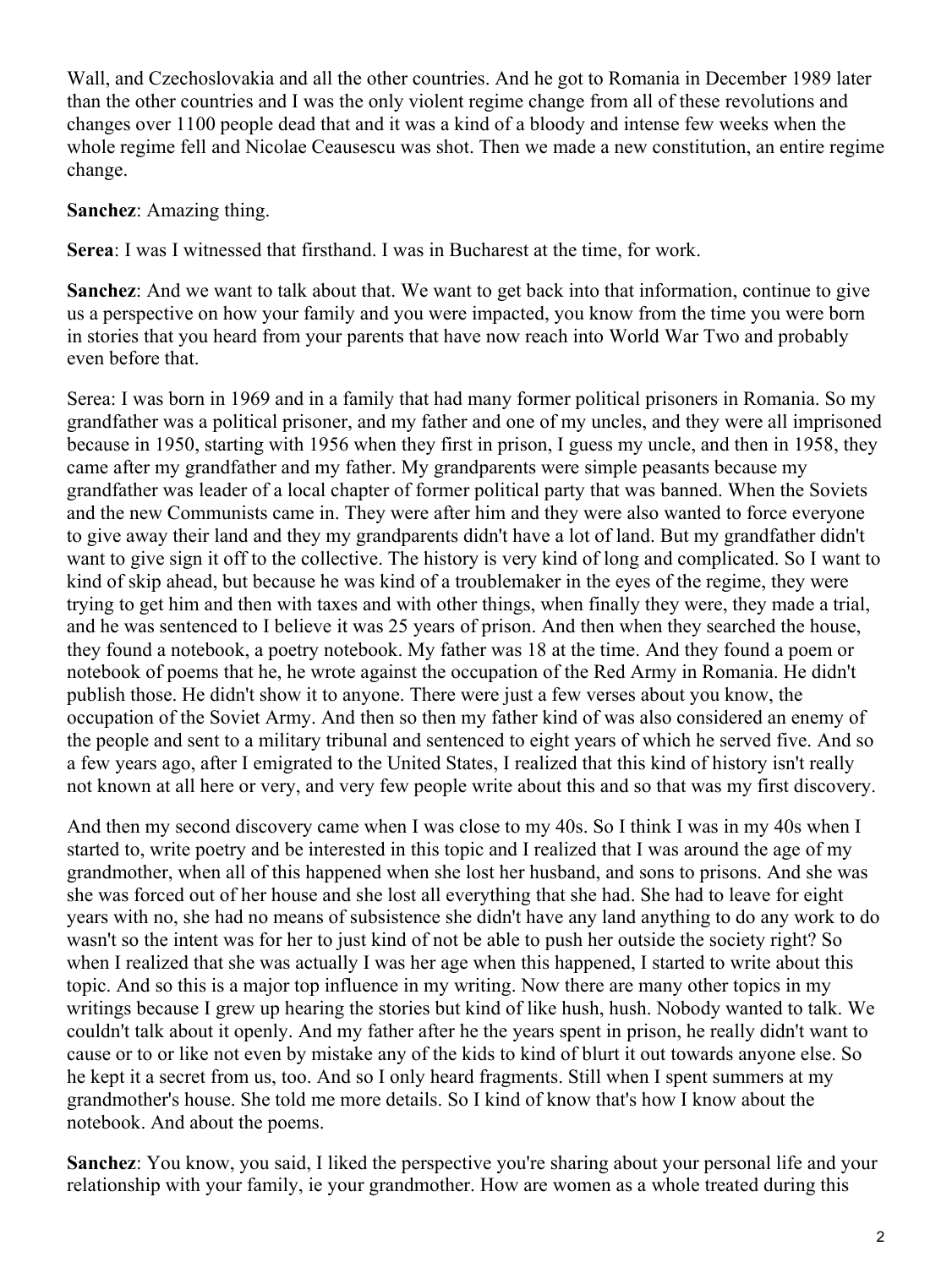Wall, and Czechoslovakia and all the other countries. And he got to Romania in December 1989 later than the other countries and I was the only violent regime change from all of these revolutions and changes over 1100 people dead that and it was a kind of a bloody and intense few weeks when the whole regime fell and Nicolae Ceausescu was shot. Then we made a new constitution, an entire regime change.

**Sanchez**: Amazing thing.

**Serea**: I was I witnessed that firsthand. I was in Bucharest at the time, for work.

**Sanchez**: And we want to talk about that. We want to get back into that information, continue to give us a perspective on how your family and you were impacted, you know from the time you were born in stories that you heard from your parents that have now reach into World War Two and probably even before that.

Serea: I was born in 1969 and in a family that had many former political prisoners in Romania. So my grandfather was a political prisoner, and my father and one of my uncles, and they were all imprisoned because in 1950, starting with 1956 when they first in prison, I guess my uncle, and then in 1958, they came after my grandfather and my father. My grandparents were simple peasants because my grandfather was leader of a local chapter of former political party that was banned. When the Soviets and the new Communists came in. They were after him and they were also wanted to force everyone to give away their land and they my grandparents didn't have a lot of land. But my grandfather didn't want to give sign it off to the collective. The history is very kind of long and complicated. So I want to kind of skip ahead, but because he was kind of a troublemaker in the eyes of the regime, they were trying to get him and then with taxes and with other things, when finally they were, they made a trial, and he was sentenced to I believe it was 25 years of prison. And then when they searched the house, they found a notebook, a poetry notebook. My father was 18 at the time. And they found a poem or notebook of poems that he, he wrote against the occupation of the Red Army in Romania. He didn't publish those. He didn't show it to anyone. There were just a few verses about you know, the occupation of the Soviet Army. And then so then my father kind of was also considered an enemy of the people and sent to a military tribunal and sentenced to eight years of which he served five. And so a few years ago, after I emigrated to the United States, I realized that this kind of history isn't really not known at all here or very, and very few people write about this and so that was my first discovery.

And then my second discovery came when I was close to my 40s. So I think I was in my 40s when I started to, write poetry and be interested in this topic and I realized that I was around the age of my grandmother, when all of this happened when she lost her husband, and sons to prisons. And she was she was forced out of her house and she lost all everything that she had. She had to leave for eight years with no, she had no means of subsistence she didn't have any land anything to do any work to do wasn't so the intent was for her to just kind of not be able to push her outside the society right? So when I realized that she was actually I was her age when this happened, I started to write about this topic. And so this is a major top influence in my writing. Now there are many other topics in my writings because I grew up hearing the stories but kind of like hush, hush. Nobody wanted to talk. We couldn't talk about it openly. And my father after he the years spent in prison, he really didn't want to cause or to or like not even by mistake any of the kids to kind of blurt it out towards anyone else. So he kept it a secret from us, too. And so I only heard fragments. Still when I spent summers at my grandmother's house. She told me more details. So I kind of know that's how I know about the notebook. And about the poems.

**Sanchez**: You know, you said, I liked the perspective you're sharing about your personal life and your relationship with your family, ie your grandmother. How are women as a whole treated during this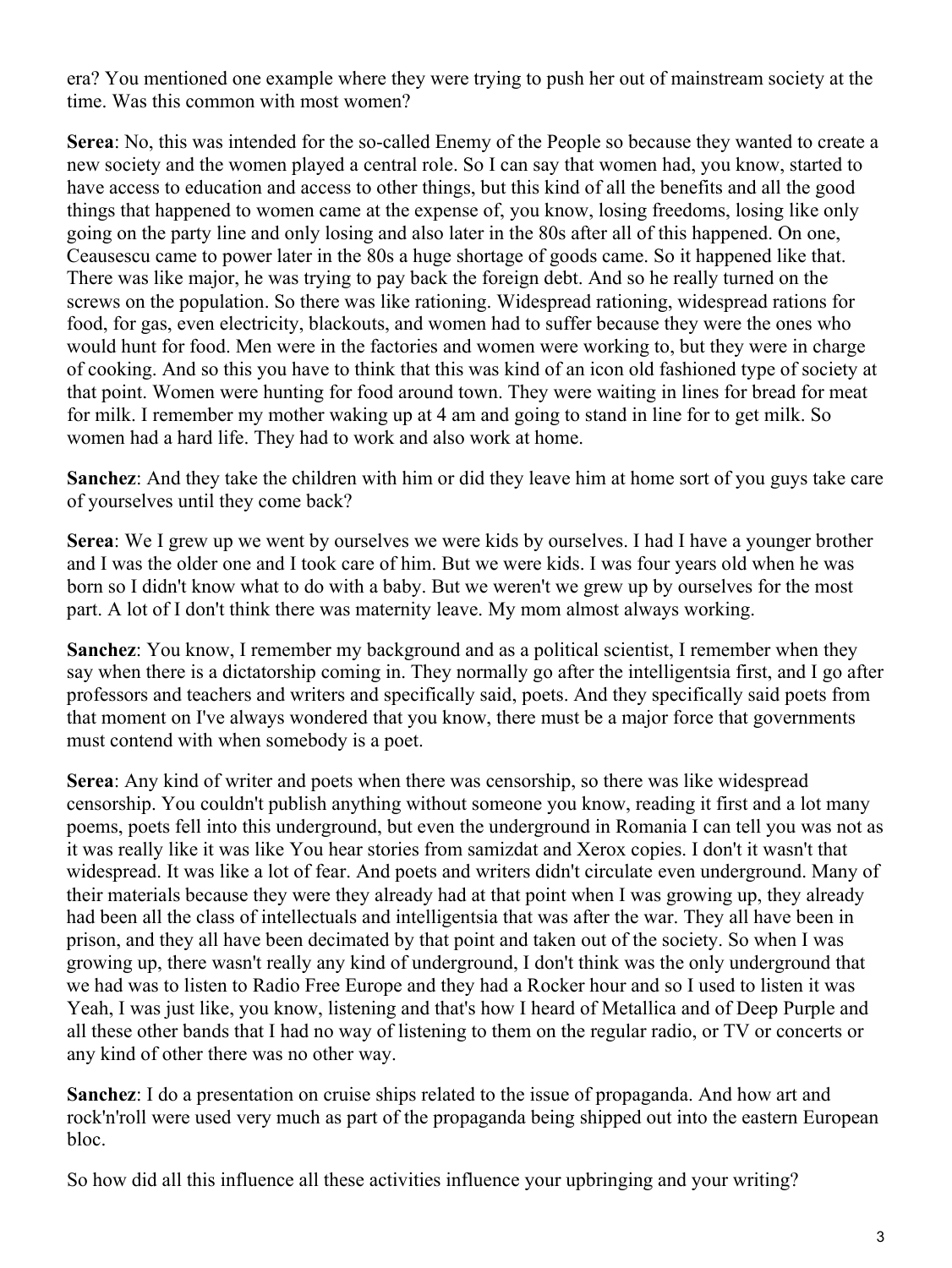era? You mentioned one example where they were trying to push her out of mainstream society at the time. Was this common with most women?

**Serea**: No, this was intended for the so-called Enemy of the People so because they wanted to create a new society and the women played a central role. So I can say that women had, you know, started to have access to education and access to other things, but this kind of all the benefits and all the good things that happened to women came at the expense of, you know, losing freedoms, losing like only going on the party line and only losing and also later in the 80s after all of this happened. On one, Ceausescu came to power later in the 80s a huge shortage of goods came. So it happened like that. There was like major, he was trying to pay back the foreign debt. And so he really turned on the screws on the population. So there was like rationing. Widespread rationing, widespread rations for food, for gas, even electricity, blackouts, and women had to suffer because they were the ones who would hunt for food. Men were in the factories and women were working to, but they were in charge of cooking. And so this you have to think that this was kind of an icon old fashioned type of society at that point. Women were hunting for food around town. They were waiting in lines for bread for meat for milk. I remember my mother waking up at 4 am and going to stand in line for to get milk. So women had a hard life. They had to work and also work at home.

**Sanchez**: And they take the children with him or did they leave him at home sort of you guys take care of yourselves until they come back?

**Serea**: We I grew up we went by ourselves we were kids by ourselves. I had I have a younger brother and I was the older one and I took care of him. But we were kids. I was four years old when he was born so I didn't know what to do with a baby. But we weren't we grew up by ourselves for the most part. A lot of I don't think there was maternity leave. My mom almost always working.

**Sanchez**: You know, I remember my background and as a political scientist, I remember when they say when there is a dictatorship coming in. They normally go after the intelligentsia first, and I go after professors and teachers and writers and specifically said, poets. And they specifically said poets from that moment on I've always wondered that you know, there must be a major force that governments must contend with when somebody is a poet.

**Serea**: Any kind of writer and poets when there was censorship, so there was like widespread censorship. You couldn't publish anything without someone you know, reading it first and a lot many poems, poets fell into this underground, but even the underground in Romania I can tell you was not as it was really like it was like You hear stories from samizdat and Xerox copies. I don't it wasn't that widespread. It was like a lot of fear. And poets and writers didn't circulate even underground. Many of their materials because they were they already had at that point when I was growing up, they already had been all the class of intellectuals and intelligentsia that was after the war. They all have been in prison, and they all have been decimated by that point and taken out of the society. So when I was growing up, there wasn't really any kind of underground, I don't think was the only underground that we had was to listen to Radio Free Europe and they had a Rocker hour and so I used to listen it was Yeah, I was just like, you know, listening and that's how I heard of Metallica and of Deep Purple and all these other bands that I had no way of listening to them on the regular radio, or TV or concerts or any kind of other there was no other way.

**Sanchez**: I do a presentation on cruise ships related to the issue of propaganda. And how art and rock'n'roll were used very much as part of the propaganda being shipped out into the eastern European bloc.

So how did all this influence all these activities influence your upbringing and your writing?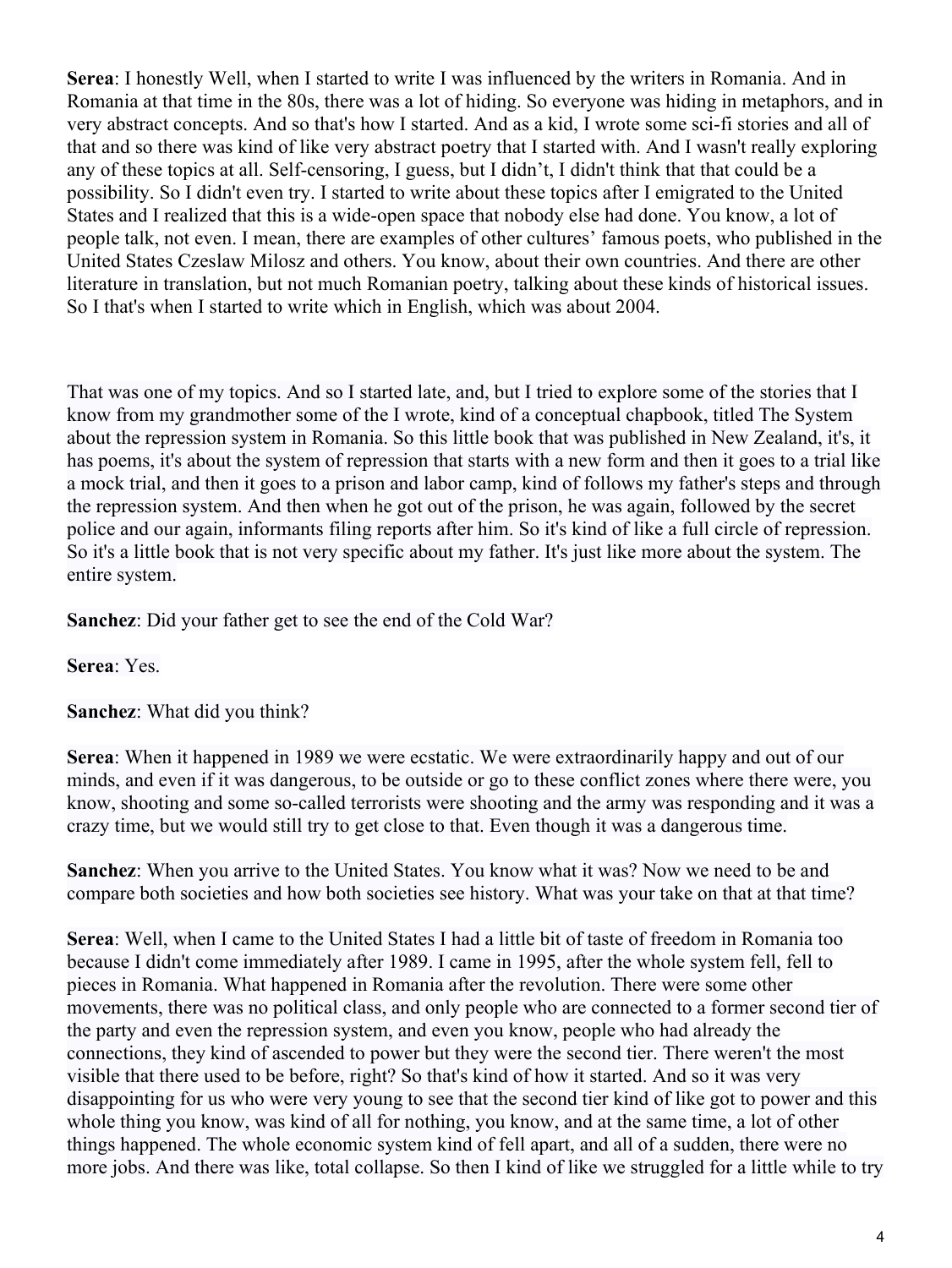**Serea**: I honestly Well, when I started to write I was influenced by the writers in Romania. And in Romania at that time in the 80s, there was a lot of hiding. So everyone was hiding in metaphors, and in very abstract concepts. And so that's how I started. And as a kid, I wrote some sci-fi stories and all of that and so there was kind of like very abstract poetry that I started with. And I wasn't really exploring any of these topics at all. Self-censoring, I guess, but I didn't, I didn't think that that could be a possibility. So I didn't even try. I started to write about these topics after I emigrated to the United States and I realized that this is a wide-open space that nobody else had done. You know, a lot of people talk, not even. I mean, there are examples of other cultures' famous poets, who published in the United States Czeslaw Milosz and others. You know, about their own countries. And there are other literature in translation, but not much Romanian poetry, talking about these kinds of historical issues. So I that's when I started to write which in English, which was about 2004.

That was one of my topics. And so I started late, and, but I tried to explore some of the stories that I know from my grandmother some of the I wrote, kind of a conceptual chapbook, titled The System about the repression system in Romania. So this little book that was published in New Zealand, it's, it has poems, it's about the system of repression that starts with a new form and then it goes to a trial like a mock trial, and then it goes to a prison and labor camp, kind of follows my father's steps and through the repression system. And then when he got out of the prison, he was again, followed by the secret police and our again, informants filing reports after him. So it's kind of like a full circle of repression. So it's a little book that is not very specific about my father. It's just like more about the system. The entire system.

**Sanchez**: Did your father get to see the end of the Cold War?

**Serea**: Yes.

**Sanchez**: What did you think?

**Serea**: When it happened in 1989 we were ecstatic. We were extraordinarily happy and out of our minds, and even if it was dangerous, to be outside or go to these conflict zones where there were, you know, shooting and some so-called terrorists were shooting and the army was responding and it was a crazy time, but we would still try to get close to that. Even though it was a dangerous time.

**Sanchez**: When you arrive to the United States. You know what it was? Now we need to be and compare both societies and how both societies see history. What was your take on that at that time?

**Serea**: Well, when I came to the United States I had a little bit of taste of freedom in Romania too because I didn't come immediately after 1989. I came in 1995, after the whole system fell, fell to pieces in Romania. What happened in Romania after the revolution. There were some other movements, there was no political class, and only people who are connected to a former second tier of the party and even the repression system, and even you know, people who had already the connections, they kind of ascended to power but they were the second tier. There weren't the most visible that there used to be before, right? So that's kind of how it started. And so it was very disappointing for us who were very young to see that the second tier kind of like got to power and this whole thing you know, was kind of all for nothing, you know, and at the same time, a lot of other things happened. The whole economic system kind of fell apart, and all of a sudden, there were no more jobs. And there was like, total collapse. So then I kind of like we struggled for a little while to try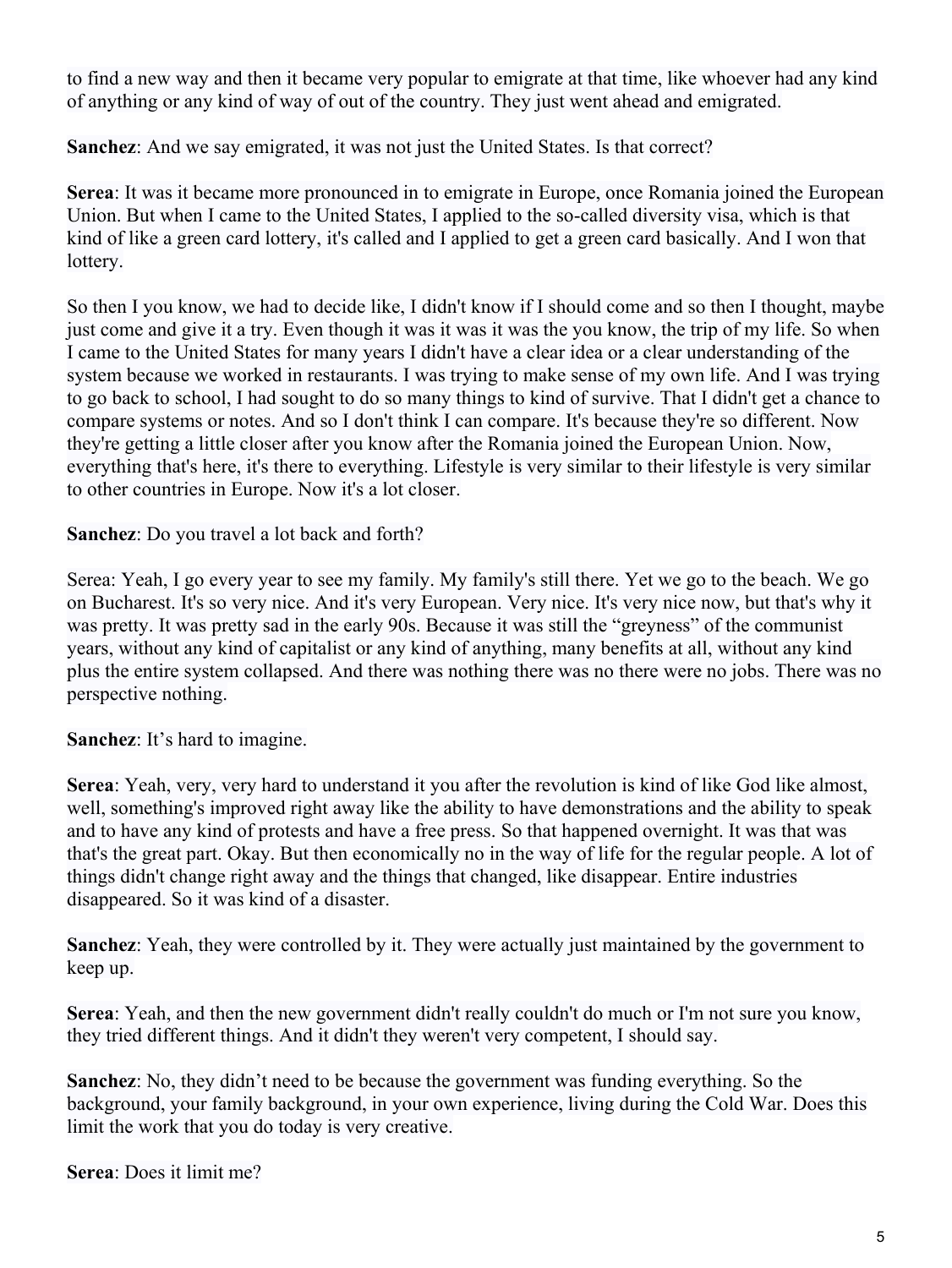to find a new way and then it became very popular to emigrate at that time, like whoever had any kind of anything or any kind of way of out of the country. They just went ahead and emigrated.

**Sanchez**: And we say emigrated, it was not just the United States. Is that correct?

**Serea**: It was it became more pronounced in to emigrate in Europe, once Romania joined the European Union. But when I came to the United States, I applied to the so-called diversity visa, which is that kind of like a green card lottery, it's called and I applied to get a green card basically. And I won that lottery.

So then I you know, we had to decide like, I didn't know if I should come and so then I thought, maybe just come and give it a try. Even though it was it was it was the you know, the trip of my life. So when I came to the United States for many years I didn't have a clear idea or a clear understanding of the system because we worked in restaurants. I was trying to make sense of my own life. And I was trying to go back to school, I had sought to do so many things to kind of survive. That I didn't get a chance to compare systems or notes. And so I don't think I can compare. It's because they're so different. Now they're getting a little closer after you know after the Romania joined the European Union. Now, everything that's here, it's there to everything. Lifestyle is very similar to their lifestyle is very similar to other countries in Europe. Now it's a lot closer.

**Sanchez**: Do you travel a lot back and forth?

Serea: Yeah, I go every year to see my family. My family's still there. Yet we go to the beach. We go on Bucharest. It's so very nice. And it's very European. Very nice. It's very nice now, but that's why it was pretty. It was pretty sad in the early 90s. Because it was still the "greyness" of the communist years, without any kind of capitalist or any kind of anything, many benefits at all, without any kind plus the entire system collapsed. And there was nothing there was no there were no jobs. There was no perspective nothing.

**Sanchez**: It's hard to imagine.

**Serea**: Yeah, very, very hard to understand it you after the revolution is kind of like God like almost, well, something's improved right away like the ability to have demonstrations and the ability to speak and to have any kind of protests and have a free press. So that happened overnight. It was that was that's the great part. Okay. But then economically no in the way of life for the regular people. A lot of things didn't change right away and the things that changed, like disappear. Entire industries disappeared. So it was kind of a disaster.

**Sanchez**: Yeah, they were controlled by it. They were actually just maintained by the government to keep up.

**Serea**: Yeah, and then the new government didn't really couldn't do much or I'm not sure you know, they tried different things. And it didn't they weren't very competent, I should say.

**Sanchez**: No, they didn't need to be because the government was funding everything. So the background, your family background, in your own experience, living during the Cold War. Does this limit the work that you do today is very creative.

**Serea**: Does it limit me?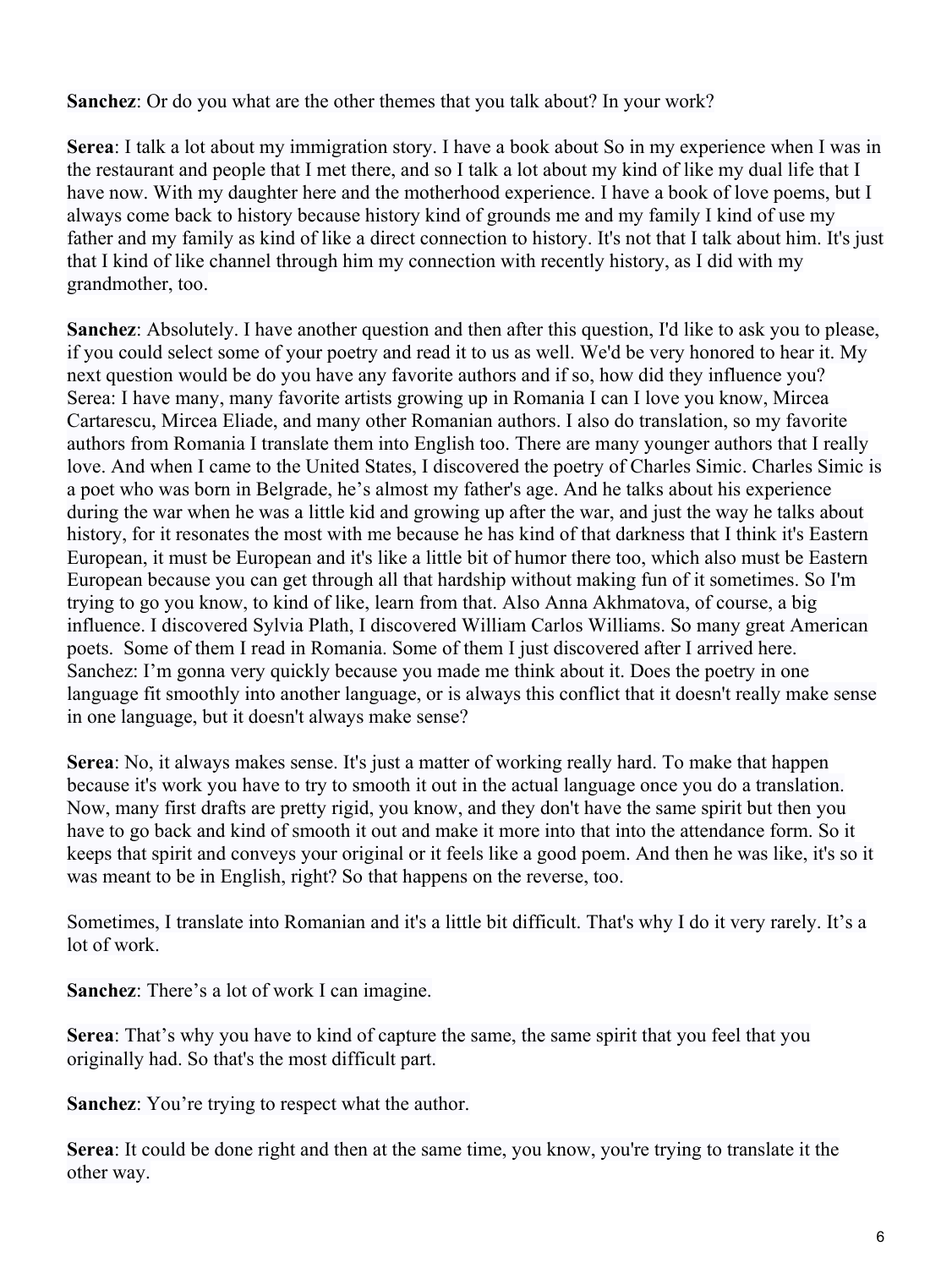**Sanchez**: Or do you what are the other themes that you talk about? In your work?

**Serea**: I talk a lot about my immigration story. I have a book about So in my experience when I was in the restaurant and people that I met there, and so I talk a lot about my kind of like my dual life that I have now. With my daughter here and the motherhood experience. I have a book of love poems, but I always come back to history because history kind of grounds me and my family I kind of use my father and my family as kind of like a direct connection to history. It's not that I talk about him. It's just that I kind of like channel through him my connection with recently history, as I did with my grandmother, too.

**Sanchez**: Absolutely. I have another question and then after this question, I'd like to ask you to please, if you could select some of your poetry and read it to us as well. We'd be very honored to hear it. My next question would be do you have any favorite authors and if so, how did they influence you? Serea: I have many, many favorite artists growing up in Romania I can I love you know, Mircea Cartarescu, Mircea Eliade, and many other Romanian authors. I also do translation, so my favorite authors from Romania I translate them into English too. There are many younger authors that I really love. And when I came to the United States, I discovered the poetry of Charles Simic. Charles Simic is a poet who was born in Belgrade, he's almost my father's age. And he talks about his experience during the war when he was a little kid and growing up after the war, and just the way he talks about history, for it resonates the most with me because he has kind of that darkness that I think it's Eastern European, it must be European and it's like a little bit of humor there too, which also must be Eastern European because you can get through all that hardship without making fun of it sometimes. So I'm trying to go you know, to kind of like, learn from that. Also Anna Akhmatova, of course, a big influence. I discovered Sylvia Plath, I discovered William Carlos Williams. So many great American poets. Some of them I read in Romania. Some of them I just discovered after I arrived here. Sanchez: I'm gonna very quickly because you made me think about it. Does the poetry in one language fit smoothly into another language, or is always this conflict that it doesn't really make sense in one language, but it doesn't always make sense?

**Serea**: No, it always makes sense. It's just a matter of working really hard. To make that happen because it's work you have to try to smooth it out in the actual language once you do a translation. Now, many first drafts are pretty rigid, you know, and they don't have the same spirit but then you have to go back and kind of smooth it out and make it more into that into the attendance form. So it keeps that spirit and conveys your original or it feels like a good poem. And then he was like, it's so it was meant to be in English, right? So that happens on the reverse, too.

Sometimes, I translate into Romanian and it's a little bit difficult. That's why I do it very rarely. It's a lot of work.

**Sanchez**: There's a lot of work I can imagine.

**Serea**: That's why you have to kind of capture the same, the same spirit that you feel that you originally had. So that's the most difficult part.

**Sanchez**: You're trying to respect what the author.

**Serea**: It could be done right and then at the same time, you know, you're trying to translate it the other way.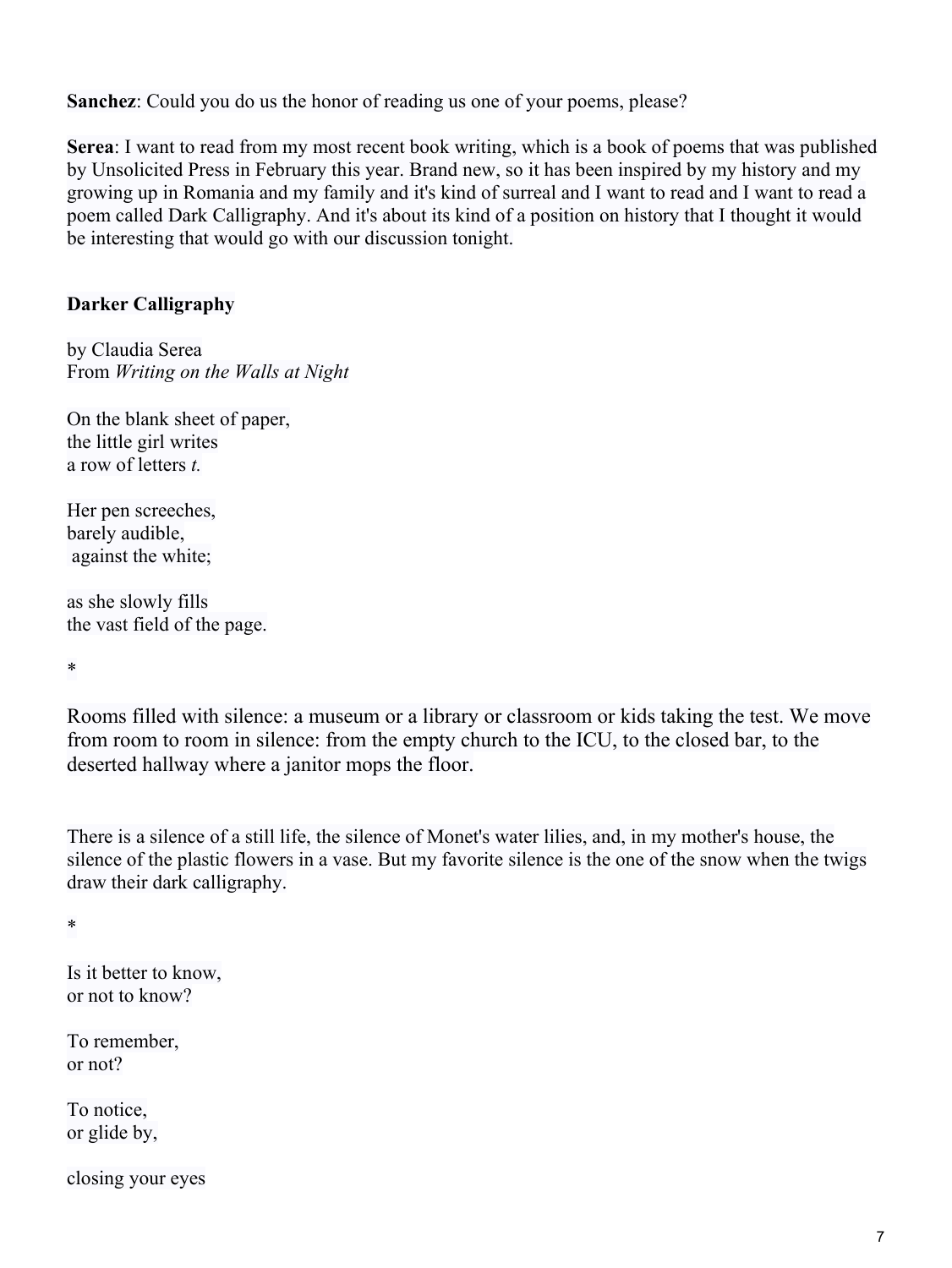**Sanchez**: Could you do us the honor of reading us one of your poems, please?

**Serea**: I want to read from my most recent book writing, which is a book of poems that was published by Unsolicited Press in February this year. Brand new, so it has been inspired by my history and my growing up in Romania and my family and it's kind of surreal and I want to read and I want to read a poem called Dark Calligraphy. And it's about its kind of a position on history that I thought it would be interesting that would go with our discussion tonight.

# **Darker Calligraphy**

by Claudia Serea From *Writing on the Walls at Night*

On the blank sheet of paper, the little girl writes a row of letters *t.* 

Her pen screeches, barely audible, against the white;

as she slowly fills the vast field of the page.

\*

Rooms filled with silence: a museum or a library or classroom or kids taking the test. We move from room to room in silence: from the empty church to the ICU, to the closed bar, to the deserted hallway where a janitor mops the floor.

There is a silence of a still life, the silence of Monet's water lilies, and, in my mother's house, the silence of the plastic flowers in a vase. But my favorite silence is the one of the snow when the twigs draw their dark calligraphy.

\*

Is it better to know, or not to know?

To remember, or not?

To notice, or glide by,

closing your eyes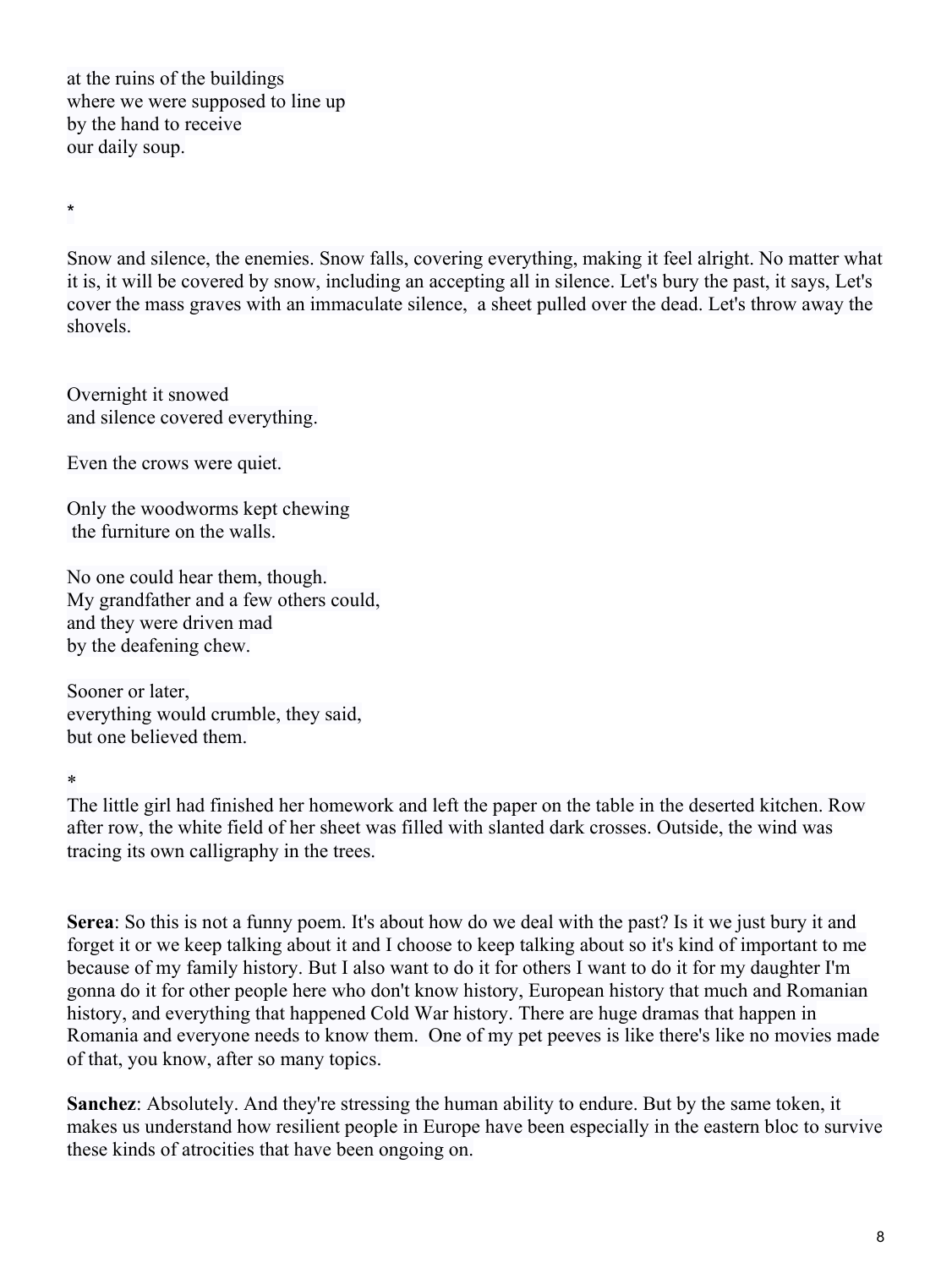at the ruins of the buildings where we were supposed to line up by the hand to receive our daily soup.

\*

Snow and silence, the enemies. Snow falls, covering everything, making it feel alright. No matter what it is, it will be covered by snow, including an accepting all in silence. Let's bury the past, it says, Let's cover the mass graves with an immaculate silence, a sheet pulled over the dead. Let's throw away the shovels.

Overnight it snowed and silence covered everything.

Even the crows were quiet.

Only the woodworms kept chewing the furniture on the walls.

No one could hear them, though. My grandfather and a few others could, and they were driven mad by the deafening chew.

Sooner or later, everything would crumble, they said, but one believed them.

\*

The little girl had finished her homework and left the paper on the table in the deserted kitchen. Row after row, the white field of her sheet was filled with slanted dark crosses. Outside, the wind was tracing its own calligraphy in the trees.

**Serea**: So this is not a funny poem. It's about how do we deal with the past? Is it we just bury it and forget it or we keep talking about it and I choose to keep talking about so it's kind of important to me because of my family history. But I also want to do it for others I want to do it for my daughter I'm gonna do it for other people here who don't know history, European history that much and Romanian history, and everything that happened Cold War history. There are huge dramas that happen in Romania and everyone needs to know them. One of my pet peeves is like there's like no movies made of that, you know, after so many topics.

**Sanchez**: Absolutely. And they're stressing the human ability to endure. But by the same token, it makes us understand how resilient people in Europe have been especially in the eastern bloc to survive these kinds of atrocities that have been ongoing on.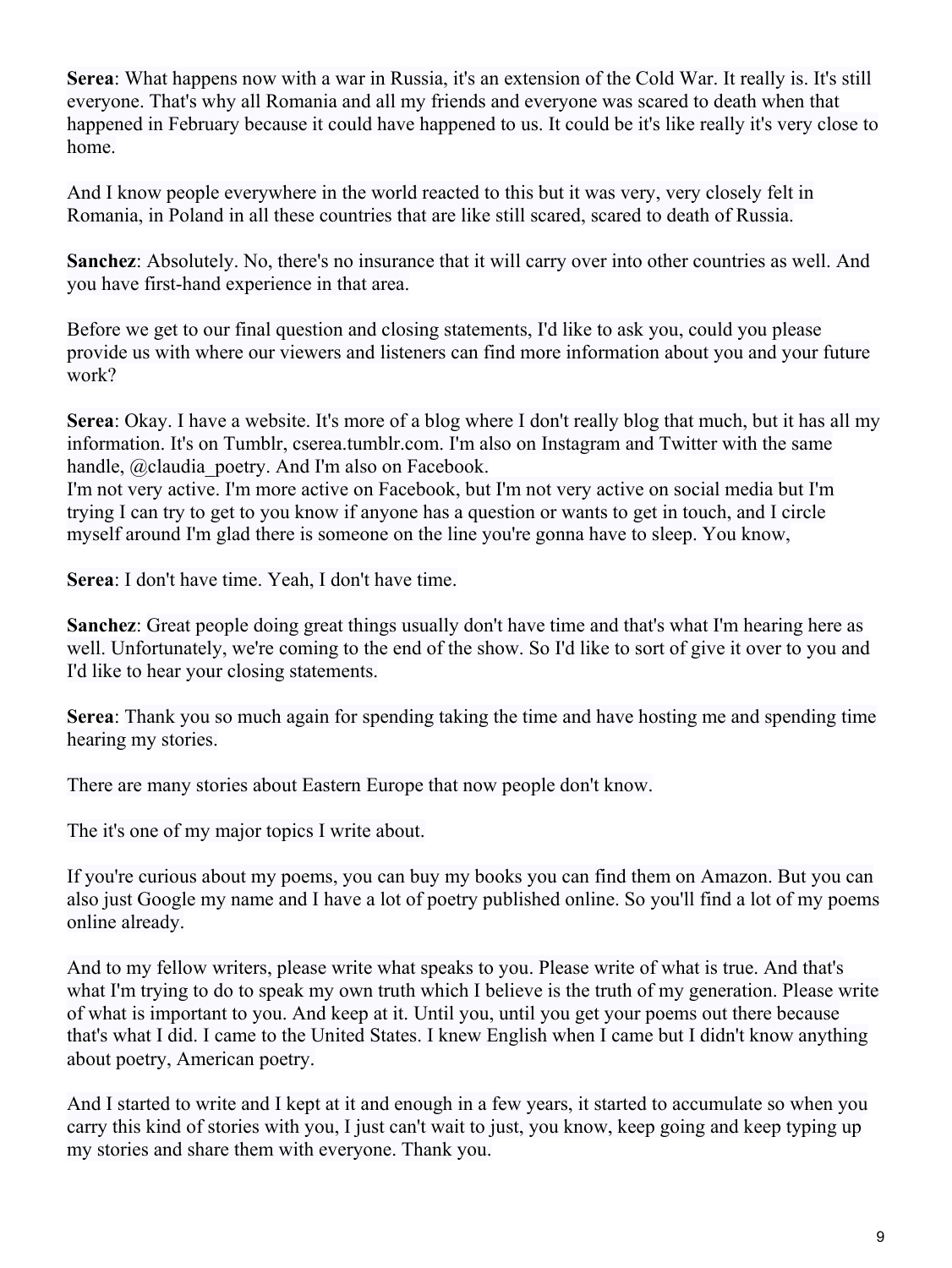**Serea**: What happens now with a war in Russia, it's an extension of the Cold War. It really is. It's still everyone. That's why all Romania and all my friends and everyone was scared to death when that happened in February because it could have happened to us. It could be it's like really it's very close to home.

And I know people everywhere in the world reacted to this but it was very, very closely felt in Romania, in Poland in all these countries that are like still scared, scared to death of Russia.

**Sanchez**: Absolutely. No, there's no insurance that it will carry over into other countries as well. And you have first-hand experience in that area.

Before we get to our final question and closing statements, I'd like to ask you, could you please provide us with where our viewers and listeners can find more information about you and your future work?

**Serea**: Okay. I have a website. It's more of a blog where I don't really blog that much, but it has all my information. It's on Tumblr, cserea.tumblr.com. I'm also on Instagram and Twitter with the same handle, @claudia\_poetry. And I'm also on Facebook.

I'm not very active. I'm more active on Facebook, but I'm not very active on social media but I'm trying I can try to get to you know if anyone has a question or wants to get in touch, and I circle myself around I'm glad there is someone on the line you're gonna have to sleep. You know,

**Serea**: I don't have time. Yeah, I don't have time.

**Sanchez**: Great people doing great things usually don't have time and that's what I'm hearing here as well. Unfortunately, we're coming to the end of the show. So I'd like to sort of give it over to you and I'd like to hear your closing statements.

**Serea**: Thank you so much again for spending taking the time and have hosting me and spending time hearing my stories.

There are many stories about Eastern Europe that now people don't know.

The it's one of my major topics I write about.

If you're curious about my poems, you can buy my books you can find them on Amazon. But you can also just Google my name and I have a lot of poetry published online. So you'll find a lot of my poems online already.

And to my fellow writers, please write what speaks to you. Please write of what is true. And that's what I'm trying to do to speak my own truth which I believe is the truth of my generation. Please write of what is important to you. And keep at it. Until you, until you get your poems out there because that's what I did. I came to the United States. I knew English when I came but I didn't know anything about poetry, American poetry.

And I started to write and I kept at it and enough in a few years, it started to accumulate so when you carry this kind of stories with you, I just can't wait to just, you know, keep going and keep typing up my stories and share them with everyone. Thank you.